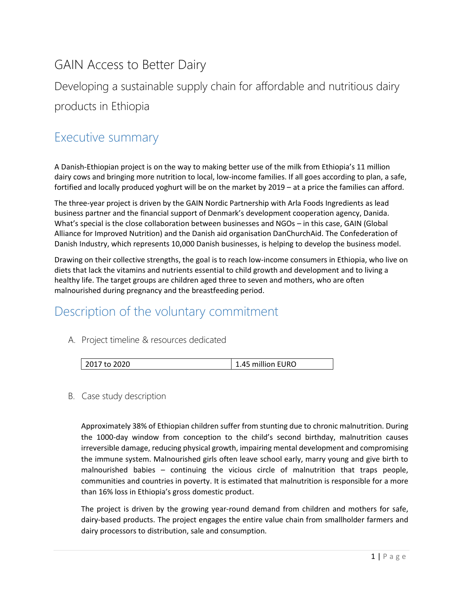# GAIN Access to Better Dairy

Developing a sustainable supply chain for affordable and nutritious dairy products in Ethiopia

### Executive summary

A Danish-Ethiopian project is on the way to making better use of the milk from Ethiopia's 11 million dairy cows and bringing more nutrition to local, low-income families. If all goes according to plan, a safe, fortified and locally produced yoghurt will be on the market by 2019 – at a price the families can afford.

The three-year project is driven by the GAIN Nordic Partnership with Arla Foods Ingredients as lead business partner and the financial support of Denmark's development cooperation agency, Danida. What's special is the close collaboration between businesses and NGOs – in this case, GAIN (Global Alliance for Improved Nutrition) and the Danish aid organisation DanChurchAid. The Confederation of Danish Industry, which represents 10,000 Danish businesses, is helping to develop the business model.

Drawing on their collective strengths, the goal is to reach low-income consumers in Ethiopia, who live on diets that lack the vitamins and nutrients essential to child growth and development and to living a healthy life. The target groups are children aged three to seven and mothers, who are often malnourished during pregnancy and the breastfeeding period.

# Description of the voluntary commitment

### A. Project timeline & resources dedicated

| 2017 to 2020 | 1.45 million EURO |
|--------------|-------------------|
|              |                   |

#### B. Case study description

Approximately 38% of Ethiopian children suffer from stunting due to chronic malnutrition. During the 1000-day window from conception to the child's second birthday, malnutrition causes irreversible damage, reducing physical growth, impairing mental development and compromising the immune system. Malnourished girls often leave school early, marry young and give birth to malnourished babies – continuing the vicious circle of malnutrition that traps people, communities and countries in poverty. It is estimated that malnutrition is responsible for a more than 16% loss in Ethiopia's gross domestic product.

The project is driven by the growing year-round demand from children and mothers for safe, dairy-based products. The project engages the entire value chain from smallholder farmers and dairy processors to distribution, sale and consumption.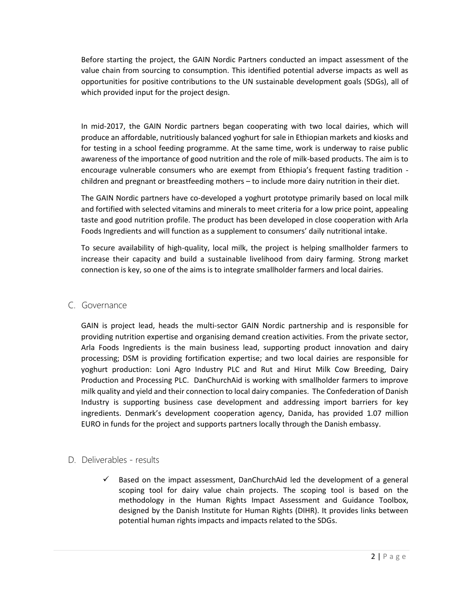Before starting the project, the GAIN Nordic Partners conducted an impact assessment of the value chain from sourcing to consumption. This identified potential adverse impacts as well as opportunities for positive contributions to the UN sustainable development goals (SDGs), all of which provided input for the project design.

In mid-2017, the GAIN Nordic partners began cooperating with two local dairies, which will produce an affordable, nutritiously balanced yoghurt for sale in Ethiopian markets and kiosks and for testing in a school feeding programme. At the same time, work is underway to raise public awareness of the importance of good nutrition and the role of milk-based products. The aim is to encourage vulnerable consumers who are exempt from Ethiopia's frequent fasting tradition children and pregnant or breastfeeding mothers – to include more dairy nutrition in their diet.

The GAIN Nordic partners have co-developed a yoghurt prototype primarily based on local milk and fortified with selected vitamins and minerals to meet criteria for a low price point, appealing taste and good nutrition profile. The product has been developed in close cooperation with Arla Foods Ingredients and will function as a supplement to consumers' daily nutritional intake.

To secure availability of high-quality, local milk, the project is helping smallholder farmers to increase their capacity and build a sustainable livelihood from dairy farming. Strong market connection is key, so one of the aims is to integrate smallholder farmers and local dairies.

#### C. Governance

GAIN is project lead, heads the multi-sector GAIN Nordic partnership and is responsible for providing nutrition expertise and organising demand creation activities. From the private sector, Arla Foods Ingredients is the main business lead, supporting product innovation and dairy processing; DSM is providing fortification expertise; and two local dairies are responsible for yoghurt production: Loni Agro Industry PLC and Rut and Hirut Milk Cow Breeding, Dairy Production and Processing PLC. DanChurchAid is working with smallholder farmers to improve milk quality and yield and their connection to local dairy companies. The Confederation of Danish Industry is supporting business case development and addressing import barriers for key ingredients. Denmark's development cooperation agency, Danida, has provided 1.07 million EURO in funds for the project and supports partners locally through the Danish embassy.

### D. Deliverables - results

 $\checkmark$  Based on the impact assessment, DanChurchAid led the development of a general scoping tool for dairy value chain projects. The scoping tool is based on the methodology in the [Human Rights Impact Assessment and Guidance Toolbox,](https://www.humanrights.dk/business/tools/human-rights-impact-assessment-guidance-and-toolbox) designed by the Danish Institute for Human Rights (DIHR). It provides links between potential human rights impacts and impacts related to the SDGs.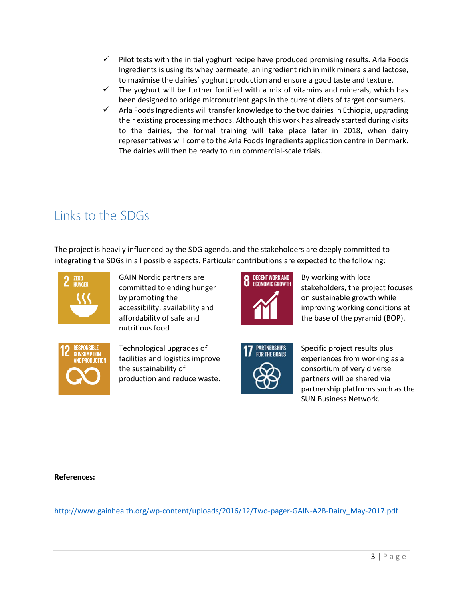- $\checkmark$  Pilot tests with the initial yoghurt recipe have produced promising results. Arla Foods Ingredients is using its whey permeate, an ingredient rich in milk minerals and lactose, to maximise the dairies' yoghurt production and ensure a good taste and texture.
- $\checkmark$  The yoghurt will be further fortified with a mix of vitamins and minerals, which has been designed to bridge micronutrient gaps in the current diets of target consumers.
- ✓ Arla Foods Ingredients will transfer knowledge to the two dairies in Ethiopia, upgrading their existing processing methods. Although this work has already started during visits to the dairies, the formal training will take place later in 2018, when dairy representatives will come to the Arla Foods Ingredients application centre in Denmark. The dairies will then be ready to run commercial-scale trials.

# Links to the SDGs

The project is heavily influenced by the SDG agenda, and the stakeholders are deeply committed to integrating the SDGs in all possible aspects. Particular contributions are expected to the following:



GAIN Nordic partners are committed to ending hunger by promoting the accessibility, availability and affordability of safe and nutritious food



By working with local stakeholders, the project focuses on sustainable growth while improving working conditions at the base of the pyramid (BOP).



Technological upgrades of facilities and logistics improve the sustainability of production and reduce waste.



Specific project results plus experiences from working as a consortium of very diverse partners will be shared via partnership platforms such as the SUN Business Network.

**References:**

[http://www.gainhealth.org/wp-content/uploads/2016/12/Two-pager-GAIN-A2B-Dairy\\_May-2017.pdf](http://www.gainhealth.org/wp-content/uploads/2016/12/Two-pager-GAIN-A2B-Dairy_May-2017.pdf)